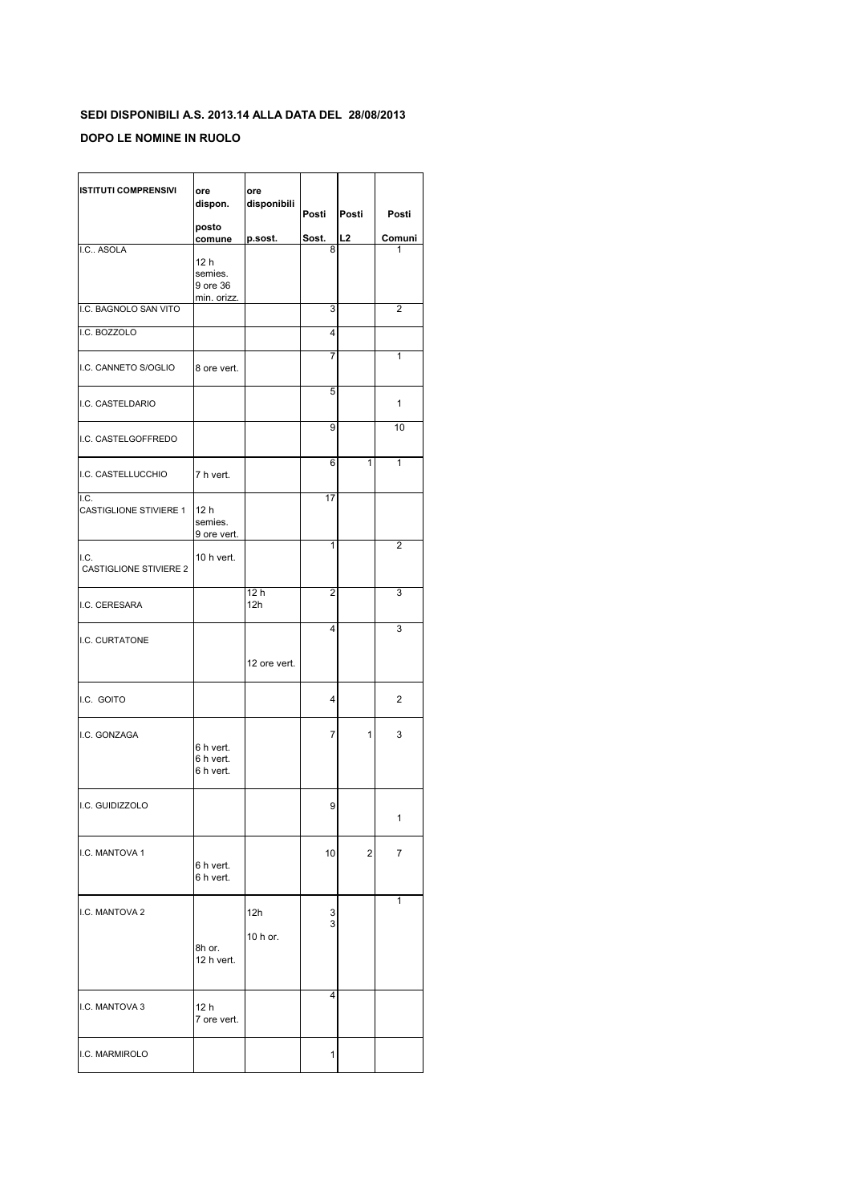## **SEDI DISPONIBILI A.S. 2013.14 ALLA DATA DEL 28/08/2013**

## **DOPO LE NOMINE IN RUOLO**

| <b>ISTITUTI COMPRENSIVI</b>           | ore<br>dispon.<br>posto                    | ore<br>disponibili | Posti  | Posti | Posti  |
|---------------------------------------|--------------------------------------------|--------------------|--------|-------|--------|
|                                       | comune                                     | p.sost.            | Sost.  | L2    | Comuni |
| I.C ASOLA                             | 12 h<br>semies.<br>9 ore 36<br>min. orizz. |                    | 8      |       | 1      |
| I.C. BAGNOLO SAN VITO                 |                                            |                    | 3      |       | 2      |
| I.C. BOZZOLO                          |                                            |                    | 4      |       |        |
| I.C. CANNETO S/OGLIO                  | 8 ore vert.                                |                    | 7      |       | 1      |
| I.C. CASTELDARIO                      |                                            |                    | 5      |       | 1      |
| I.C. CASTELGOFFREDO                   |                                            |                    | 9      |       | 10     |
| I.C. CASTELLUCCHIO                    | 7 h vert.                                  |                    | 6      | 1     | 1      |
| I.C.<br><b>CASTIGLIONE STIVIERE 1</b> | 12 <sub>h</sub><br>semies.<br>9 ore vert.  |                    | 17     |       |        |
| I.C.<br><b>CASTIGLIONE STIVIERE 2</b> | 10 h vert.                                 |                    | 1      |       | 2      |
| I.C. CERESARA                         |                                            | 12 h<br>12h        | 2      |       | 3      |
| I.C. CURTATONE                        |                                            | 12 ore vert.       | 4      |       | 3      |
| I.C. GOITO                            |                                            |                    | 4      |       | 2      |
| I.C. GONZAGA                          | 6 h vert.<br>6 h vert.<br>6 h vert.        |                    | 7      | 1     | 3      |
| I.C. GUIDIZZOLO                       |                                            |                    | 9      |       | 1      |
| I.C. MANTOVA 1                        | 6 h vert.<br>6 h vert.                     |                    | 10     | 2     | 7      |
| I.C. MANTOVA 2                        | 8h or.<br>12 h vert.                       | 12h<br>10 h or.    | 3<br>3 |       | 1      |
| I.C. MANTOVA 3                        | 12 h<br>7 ore vert.                        |                    | 4      |       |        |
| I.C. MARMIROLO                        |                                            |                    | 1      |       |        |